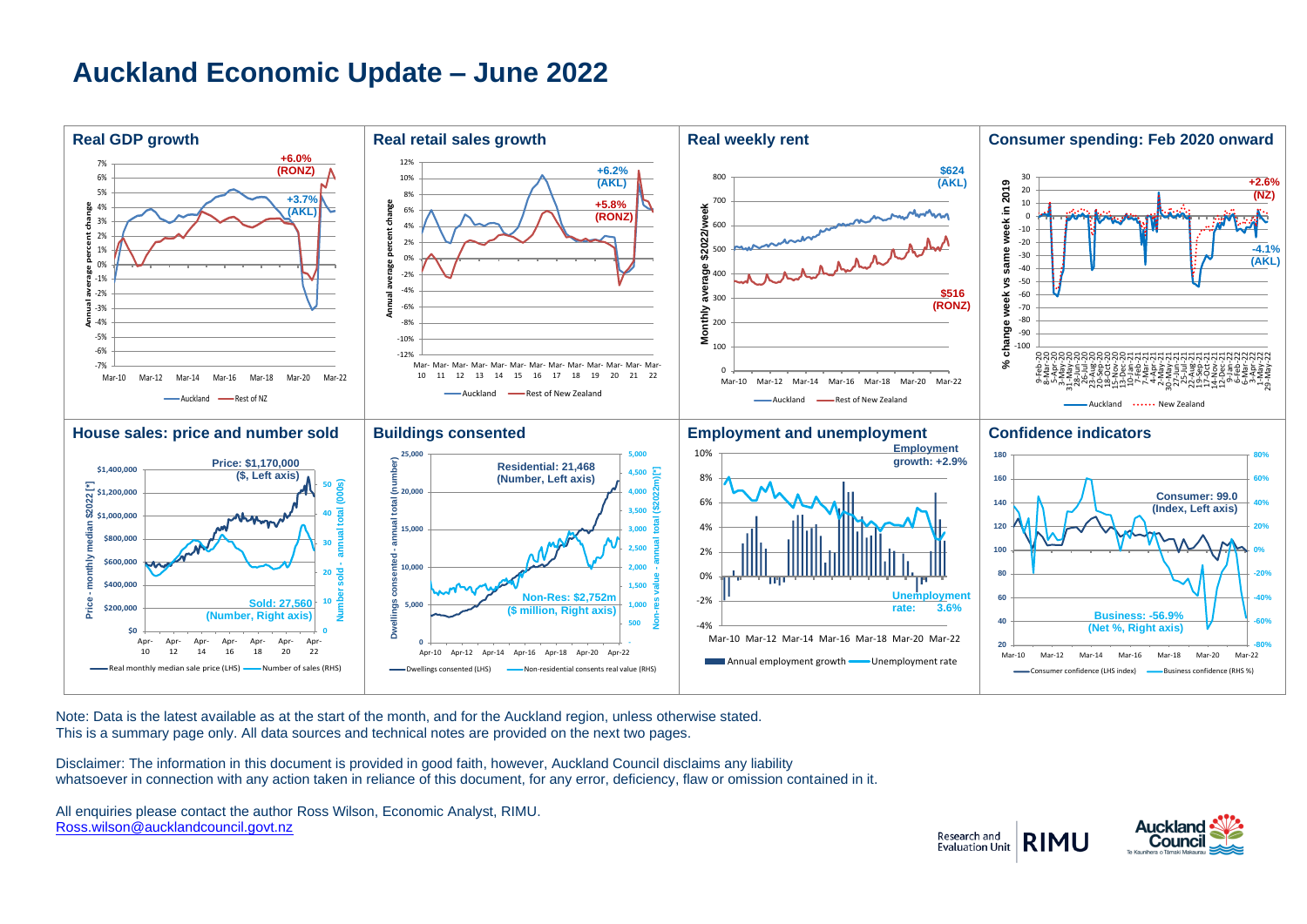## **Auckland Economic Update – June 2022**



Note: Data is the latest available as at the start of the month, and for the Auckland region, unless otherwise stated. This is a summary page only. All data sources and technical notes are provided on the next two pages.

Disclaimer: The information in this document is provided in good faith, however, Auckland Council disclaims any liability whatsoever in connection with any action taken in reliance of this document, for any error, deficiency, flaw or omission contained in it.

All enquiries please contact the author Ross Wilson, Economic Analyst, RIMU. [Ross.wilson@aucklandcouncil.govt.nz](mailto:Ross.wilson@aucklandcouncil.govt.nz)

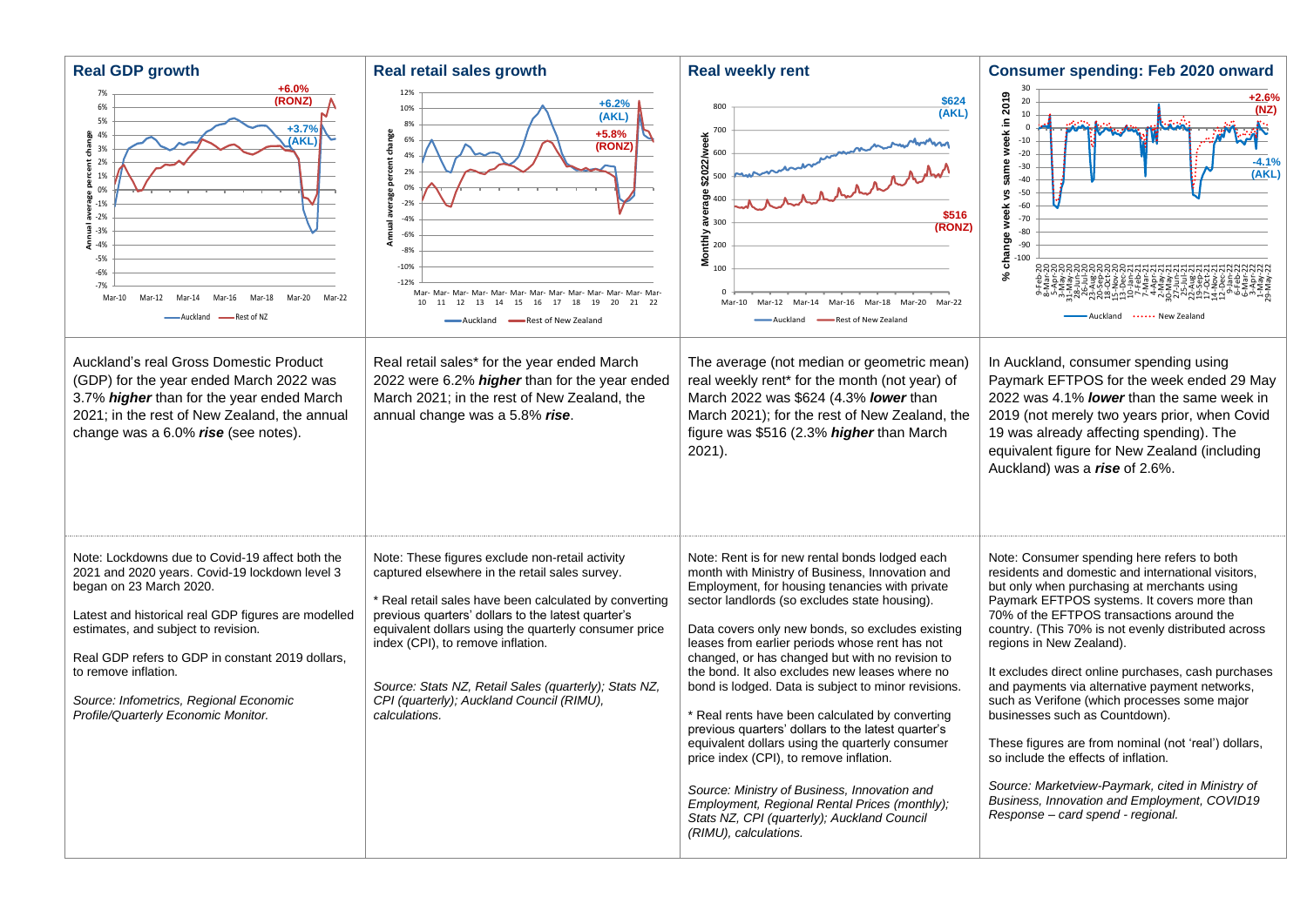| <b>Real GDP growth</b>                                                                                                                                                                                                                                                                                                                                                                  | Real retail sales growth                                                                                                                                                                                                                                                                                                                                                                                                               | <b>Real weekly rent</b>                                                                                                                                                                                                                                                                                                                                                                                                                                                                                                                                                                                                                                                                                                                                                                                                                                | <b>Consumer spending: Feb 2020 onward</b>                                                                                                                                                                                                                                                                                                                                                                                                                                                                                                                                                                                                                                                                                                                           |
|-----------------------------------------------------------------------------------------------------------------------------------------------------------------------------------------------------------------------------------------------------------------------------------------------------------------------------------------------------------------------------------------|----------------------------------------------------------------------------------------------------------------------------------------------------------------------------------------------------------------------------------------------------------------------------------------------------------------------------------------------------------------------------------------------------------------------------------------|--------------------------------------------------------------------------------------------------------------------------------------------------------------------------------------------------------------------------------------------------------------------------------------------------------------------------------------------------------------------------------------------------------------------------------------------------------------------------------------------------------------------------------------------------------------------------------------------------------------------------------------------------------------------------------------------------------------------------------------------------------------------------------------------------------------------------------------------------------|---------------------------------------------------------------------------------------------------------------------------------------------------------------------------------------------------------------------------------------------------------------------------------------------------------------------------------------------------------------------------------------------------------------------------------------------------------------------------------------------------------------------------------------------------------------------------------------------------------------------------------------------------------------------------------------------------------------------------------------------------------------------|
| $+6.0%$<br>7%<br>(RONZ)<br>6%<br>5%<br>$+3.7%$<br>$\frac{a}{20}$ 4%<br>(AKL)<br>3%<br>£<br>2%<br>1%<br>$0\%$<br>$-1%$<br>$-2%$<br>ē<br>$-3%$<br>둔 -4%<br>$-5%$<br>$-6%$<br>$-7%$<br>Mar-10<br>-Rest of N7<br>Auckland                                                                                                                                                                   | 12%<br>$+6.2%$<br>10%<br>(AKL)<br>8%<br>$+5.8%$<br>Annual average percent change<br>6%<br>(RONZ)<br>4%<br>2%<br>0%<br>$-2%$<br>$-4%$<br>$-6%$<br>$-8%$<br>$-10%$<br>$-12%$<br>10   11   12   13   14   15   16   17   18   19<br>20<br>21 22<br>-Auckland - Rest of New Zealand                                                                                                                                                        | \$624<br>800<br>(AKL)<br>700<br>斋<br>\$2022/wee<br>marriari<br>400<br>\$516<br>$\approx$ 300<br>(RONZ)<br>Monthly<br>200<br>100<br>$\Omega$<br>Mar-10<br>Mar-12 Mar-14 Mar-16<br>Mar-20<br>Mar-18<br>Mar-22<br>-Auckland<br>-Rest of New Zealand                                                                                                                                                                                                                                                                                                                                                                                                                                                                                                                                                                                                       | week in 2019<br>$+2.6%$<br>20<br>(NZ)<br>10 <sup>10</sup><br>$\Omega$<br>$-10$<br>$-20$<br>$-4.1%$<br>same<br>$-30$<br>(AKL)<br>$-40$<br>$-50$<br>Š,<br>$-60$<br>week<br>$-70$<br>$-80$<br>change<br>$-90$<br>$-100$<br>$\boldsymbol{\mathcal{S}}$<br>ים אלאיה אלאיה<br>אלאיה אלאיה אלאיה אין אלא<br>Auckland  New Zealand                                                                                                                                                                                                                                                                                                                                                                                                                                          |
| Auckland's real Gross Domestic Product<br>(GDP) for the year ended March 2022 was<br>3.7% higher than for the year ended March<br>2021; in the rest of New Zealand, the annual<br>change was a 6.0% rise (see notes).                                                                                                                                                                   | Real retail sales* for the year ended March<br>2022 were 6.2% higher than for the year ended<br>March 2021; in the rest of New Zealand, the<br>annual change was a 5.8% rise.                                                                                                                                                                                                                                                          | The average (not median or geometric mean)<br>real weekly rent* for the month (not year) of<br>March 2022 was \$624 (4.3% lower than<br>March 2021); for the rest of New Zealand, the<br>figure was \$516 (2.3% higher than March<br>$2021$ ).                                                                                                                                                                                                                                                                                                                                                                                                                                                                                                                                                                                                         | In Auckland, consumer spending using<br>Paymark EFTPOS for the week ended 29 May<br>2022 was 4.1% lower than the same week in<br>2019 (not merely two years prior, when Covid<br>19 was already affecting spending). The<br>equivalent figure for New Zealand (including<br>Auckland) was a rise of 2.6%.                                                                                                                                                                                                                                                                                                                                                                                                                                                           |
| Note: Lockdowns due to Covid-19 affect both the<br>2021 and 2020 years. Covid-19 lockdown level 3<br>began on 23 March 2020.<br>Latest and historical real GDP figures are modelled<br>estimates, and subject to revision.<br>Real GDP refers to GDP in constant 2019 dollars,<br>to remove inflation.<br>Source: Infometrics, Regional Economic<br>Profile/Quarterly Economic Monitor. | Note: These figures exclude non-retail activity<br>captured elsewhere in the retail sales survey.<br>* Real retail sales have been calculated by converting<br>previous quarters' dollars to the latest quarter's<br>equivalent dollars using the quarterly consumer price<br>index (CPI), to remove inflation.<br>Source: Stats NZ, Retail Sales (quarterly); Stats NZ,<br>CPI (quarterly); Auckland Council (RIMU),<br>calculations. | Note: Rent is for new rental bonds lodged each<br>month with Ministry of Business, Innovation and<br>Employment, for housing tenancies with private<br>sector landlords (so excludes state housing).<br>Data covers only new bonds, so excludes existing<br>leases from earlier periods whose rent has not<br>changed, or has changed but with no revision to<br>the bond. It also excludes new leases where no<br>bond is lodged. Data is subject to minor revisions.<br>* Real rents have been calculated by converting<br>previous quarters' dollars to the latest quarter's<br>equivalent dollars using the quarterly consumer<br>price index (CPI), to remove inflation.<br>Source: Ministry of Business, Innovation and<br>Employment, Regional Rental Prices (monthly);<br>Stats NZ, CPI (quarterly); Auckland Council<br>(RIMU), calculations. | Note: Consumer spending here refers to both<br>residents and domestic and international visitors,<br>but only when purchasing at merchants using<br>Paymark EFTPOS systems. It covers more than<br>70% of the EFTPOS transactions around the<br>country. (This 70% is not evenly distributed across<br>regions in New Zealand).<br>It excludes direct online purchases, cash purchases<br>and payments via alternative payment networks,<br>such as Verifone (which processes some major<br>businesses such as Countdown).<br>These figures are from nominal (not 'real') dollars,<br>so include the effects of inflation.<br>Source: Marketview-Paymark, cited in Ministry of<br>Business, Innovation and Employment, COVID19<br>Response - card spend - regional. |